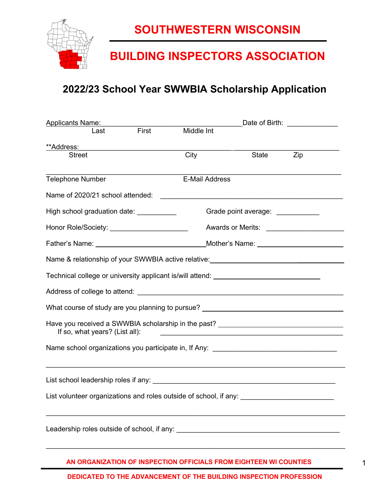

### **BUILDING INSPECTORS ASSOCIATION**

### **2022/23 School Year SWWBIA Scholarship Application**

| <b>Applicants Name:</b>                                                                                            |                       | Date of Birth: ______________                                                                                                                                                                                                 |     |  |  |
|--------------------------------------------------------------------------------------------------------------------|-----------------------|-------------------------------------------------------------------------------------------------------------------------------------------------------------------------------------------------------------------------------|-----|--|--|
| First<br>Last                                                                                                      | Middle Int            |                                                                                                                                                                                                                               |     |  |  |
| **Address:                                                                                                         |                       |                                                                                                                                                                                                                               |     |  |  |
| <b>Street</b>                                                                                                      | City                  | <b>State</b>                                                                                                                                                                                                                  | Zip |  |  |
| <b>Telephone Number</b>                                                                                            | <b>E-Mail Address</b> |                                                                                                                                                                                                                               |     |  |  |
|                                                                                                                    |                       |                                                                                                                                                                                                                               |     |  |  |
|                                                                                                                    |                       |                                                                                                                                                                                                                               |     |  |  |
| High school graduation date: _____________                                                                         |                       | Grade point average: ___________                                                                                                                                                                                              |     |  |  |
| Honor Role/Society: _________________________                                                                      |                       |                                                                                                                                                                                                                               |     |  |  |
|                                                                                                                    |                       | Mother's Name: _____________________________                                                                                                                                                                                  |     |  |  |
| Name & relationship of your SWWBIA active relative: ____________________________                                   |                       |                                                                                                                                                                                                                               |     |  |  |
| Technical college or university applicant is/will attend: ______________________                                   |                       |                                                                                                                                                                                                                               |     |  |  |
|                                                                                                                    |                       |                                                                                                                                                                                                                               |     |  |  |
| What course of study are you planning to pursue? _______________________________                                   |                       |                                                                                                                                                                                                                               |     |  |  |
| Have you received a SWWBIA scholarship in the past? ____________________________<br>If so, what years? (List all): |                       | the control of the control of the control of the control of the control of the control of the control of the control of the control of the control of the control of the control of the control of the control of the control |     |  |  |
| Name school organizations you participate in, If Any: __________________________                                   |                       |                                                                                                                                                                                                                               |     |  |  |
|                                                                                                                    |                       |                                                                                                                                                                                                                               |     |  |  |
|                                                                                                                    |                       |                                                                                                                                                                                                                               |     |  |  |
| List volunteer organizations and roles outside of school, if any: _________________________________                |                       |                                                                                                                                                                                                                               |     |  |  |
| Leadership roles outside of school, if any: Leadership roles outside of school, if any:                            |                       |                                                                                                                                                                                                                               |     |  |  |
|                                                                                                                    |                       |                                                                                                                                                                                                                               |     |  |  |

**AN ORGANIZATION OF INSPECTION OFFICIALS FROM EIGHTEEN WI COUNTIES**

**DEDICATED TO THE ADVANCEMENT OF THE BUILDING INSPECTION PROFESSION**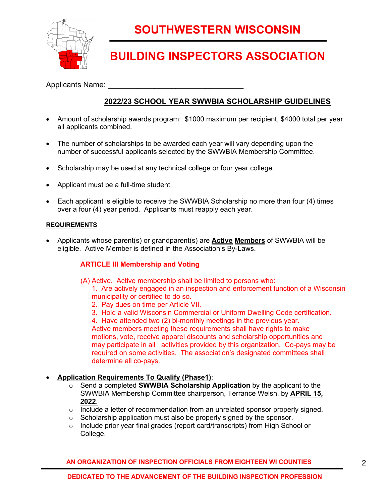

### **BUILDING INSPECTORS ASSOCIATION**

Applicants Name:

### **2022/23 SCHOOL YEAR SWWBIA SCHOLARSHIP GUIDELINES**

- Amount of scholarship awards program: \$1000 maximum per recipient, \$4000 total per year all applicants combined.
- The number of scholarships to be awarded each year will vary depending upon the number of successful applicants selected by the SWWBIA Membership Committee.
- Scholarship may be used at any technical college or four year college.
- Applicant must be a full-time student.
- Each applicant is eligible to receive the SWWBIA Scholarship no more than four (4) times over a four (4) year period. Applicants must reapply each year.

#### **REQUIREMENTS**

• Applicants whose parent(s) or grandparent(s) are **Active Members** of SWWBIA will be eligible. Active Member is defined in the Association's By-Laws.

### **ARTICLE III Membership and Voting**

(A) Active. Active membership shall be limited to persons who:

1. Are actively engaged in an inspection and enforcement function of a Wisconsin municipality or certified to do so.

- 2. Pay dues on time per Article VII.
- 3. Hold a valid Wisconsin Commercial or Uniform Dwelling Code certification.

4. Have attended two (2) bi-monthly meetings in the previous year. Active members meeting these requirements shall have rights to make motions, vote, receive apparel discounts and scholarship opportunities and may participate in all activities provided by this organization. Co-pays may be required on some activities. The association's designated committees shall

#### • **Application Requirements To Qualify (Phase1)**:

determine all co-pays.

- o Send a completed **SWWBIA Scholarship Application** by the applicant to the SWWBIA Membership Committee chairperson, Terrance Welsh, by **APRIL 15, 2022**.
- $\circ$  Include a letter of recommendation from an unrelated sponsor properly signed.
- o Scholarship application must also be properly signed by the sponsor.
- o Include prior year final grades (report card/transcripts) from High School or College.

**AN ORGANIZATION OF INSPECTION OFFICIALS FROM EIGHTEEN WI COUNTIES**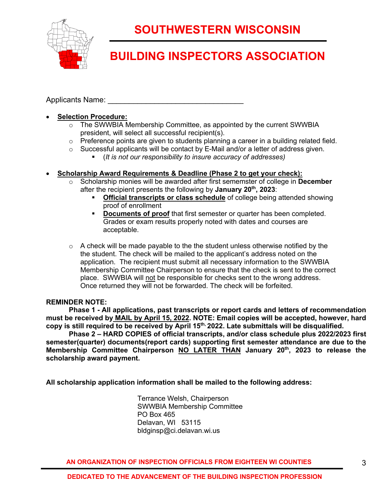

# **BUILDING INSPECTORS ASSOCIATION**

Applicants Name:

### • **Selection Procedure:**

- $\circ$  The SWWBIA Membership Committee, as appointed by the current SWWBIA president, will select all successful recipient(s).
- o Preference points are given to students planning a career in a building related field.
- o Successful applicants will be contact by E-Mail and/or a letter of address given.
	- § (*It is not our responsibility to insure accuracy of addresses)*

### • **Scholarship Award Requirements & Deadline (Phase 2 to get your check):**

- o Scholarship monies will be awarded after first sememster of college in **December** after the recipient presents the following by **January 20th, 2023**:
	- **Official transcripts or class schedule** of college being attended showing proof of enrollment
	- **Documents of proof** that first semester or quarter has been completed. Grades or exam results properly noted with dates and courses are acceptable.
- $\circ$  A check will be made payable to the the student unless otherwise notified by the the student. The check will be mailed to the applicant's address noted on the application. The recipient must submit all necessary information to the SWWBIA Membership Committee Chairperson to ensure that the check is sent to the correct place. SWWBIA will not be responsible for checks sent to the wrong address. Once returned they will not be forwarded. The check will be forfeited.

#### **REMINDER NOTE:**

**Phase 1 - All applications, past transcripts or report cards and letters of recommendation must be received by MAIL by April 15, 2022. NOTE: Email copies will be accepted, however, hard copy is still required to be received by April 15th, 2022. Late submittals will be disqualified.**

**Phase 2 – HARD COPIES of official transcripts, and/or class schedule plus 2022/2023 first semester(quarter) documents(report cards) supporting first semester attendance are due to the Membership Committee Chairperson NO LATER THAN January 20th, 2023 to release the scholarship award payment.**

**All scholarship application information shall be mailed to the following address:** 

Terrance Welsh, Chairperson SWWBIA Membership Committee PO Box 465 Delavan, WI 53115 bldginsp@ci.delavan.wi.us